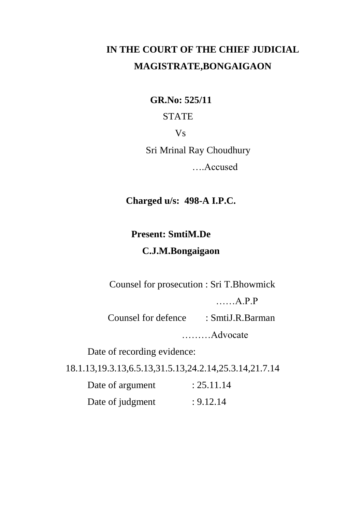# **IN THE COURT OF THE CHIEF JUDICIAL MAGISTRATE,BONGAIGAON**

**GR.No: 525/11**

### STATE

Vs

Sri Mrinal Ray Choudhury

….Accused

**Charged u/s: 498-A I.P.C.**

## **Present: SmtiM.De**

### **C.J.M.Bongaigaon**

Counsel for prosecution : Sri T.Bhowmick

……A.P.P

Counsel for defence : SmtiJ.R.Barman

………Advocate

Date of recording evidence:

18.1.13,19.3.13,6.5.13,31.5.13,24.2.14,25.3.14,21.7.14

|  | Date of argument | : 25.11.14 |
|--|------------------|------------|
|  | Date of judgment | : 9.12.14  |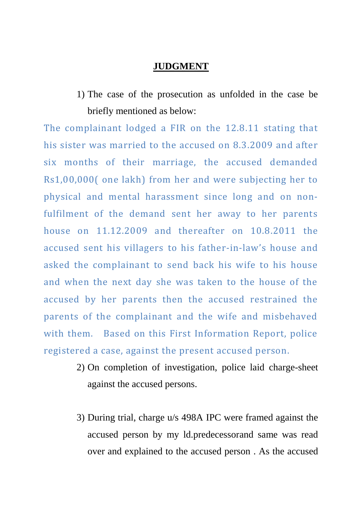#### **JUDGMENT**

1) The case of the prosecution as unfolded in the case be briefly mentioned as below:

The complainant lodged a FIR on the 12.8.11 stating that his sister was married to the accused on 8.3.2009 and after six months of their marriage, the accused demanded Rs1,00,000( one lakh) from her and were subjecting her to physical and mental harassment since long and on nonfulfilment of the demand sent her away to her parents house on 11.12.2009 and thereafter on 10.8.2011 the accused sent his villagers to his father-in-law's house and asked the complainant to send back his wife to his house and when the next day she was taken to the house of the accused by her parents then the accused restrained the parents of the complainant and the wife and misbehaved with them. Based on this First Information Report, police registered a case, against the present accused person.

- 2) On completion of investigation, police laid charge-sheet against the accused persons.
- 3) During trial, charge u/s 498A IPC were framed against the accused person by my ld.predecessorand same was read over and explained to the accused person . As the accused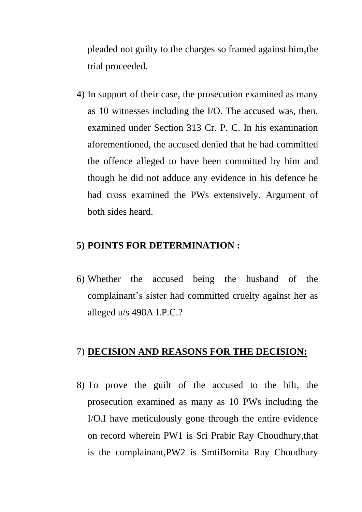pleaded not guilty to the charges so framed against him,the trial proceeded.

4) In support of their case, the prosecution examined as many as 10 witnesses including the I/O. The accused was, then, examined under Section 313 Cr. P. C. In his examination aforementioned, the accused denied that he had committed the offence alleged to have been committed by him and though he did not adduce any evidence in his defence he had cross examined the PWs extensively. Argument of both sides heard.

#### **5) POINTS FOR DETERMINATION :**

6) Whether the accused being the husband of the complainant's sister had committed cruelty against her as alleged u/s 498A I.P.C.?

#### 7) **DECISION AND REASONS FOR THE DECISION:**

8) To prove the guilt of the accused to the hilt, the prosecution examined as many as 10 PWs including the I/O.I have meticulously gone through the entire evidence on record wherein PW1 is Sri Prabir Ray Choudhury,that is the complainant,PW2 is SmtiBornita Ray Choudhury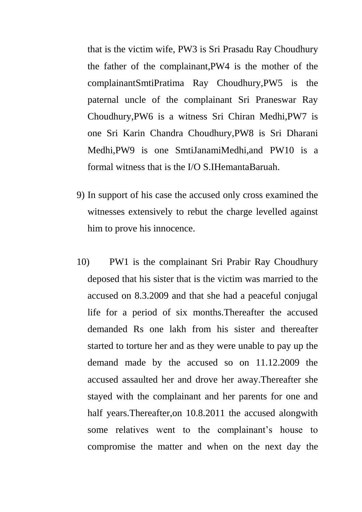that is the victim wife, PW3 is Sri Prasadu Ray Choudhury the father of the complainant,PW4 is the mother of the complainantSmtiPratima Ray Choudhury,PW5 is the paternal uncle of the complainant Sri Praneswar Ray Choudhury,PW6 is a witness Sri Chiran Medhi,PW7 is one Sri Karin Chandra Choudhury,PW8 is Sri Dharani Medhi,PW9 is one SmtiJanamiMedhi,and PW10 is a formal witness that is the I/O S.IHemantaBaruah.

- 9) In support of his case the accused only cross examined the witnesses extensively to rebut the charge levelled against him to prove his innocence.
- 10) PW1 is the complainant Sri Prabir Ray Choudhury deposed that his sister that is the victim was married to the accused on 8.3.2009 and that she had a peaceful conjugal life for a period of six months.Thereafter the accused demanded Rs one lakh from his sister and thereafter started to torture her and as they were unable to pay up the demand made by the accused so on 11.12.2009 the accused assaulted her and drove her away.Thereafter she stayed with the complainant and her parents for one and half years. Thereafter, on 10.8.2011 the accused alongwith some relatives went to the complainant's house to compromise the matter and when on the next day the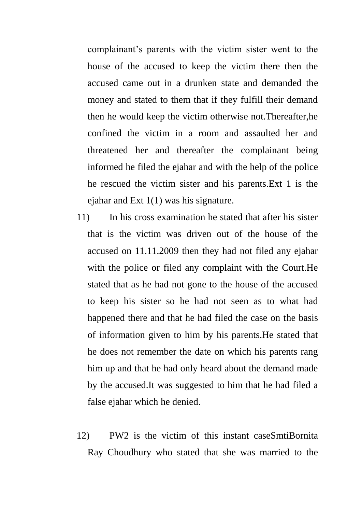complainant's parents with the victim sister went to the house of the accused to keep the victim there then the accused came out in a drunken state and demanded the money and stated to them that if they fulfill their demand then he would keep the victim otherwise not.Thereafter,he confined the victim in a room and assaulted her and threatened her and thereafter the complainant being informed he filed the ejahar and with the help of the police he rescued the victim sister and his parents.Ext 1 is the ejahar and Ext 1(1) was his signature.

- 11) In his cross examination he stated that after his sister that is the victim was driven out of the house of the accused on 11.11.2009 then they had not filed any ejahar with the police or filed any complaint with the Court.He stated that as he had not gone to the house of the accused to keep his sister so he had not seen as to what had happened there and that he had filed the case on the basis of information given to him by his parents.He stated that he does not remember the date on which his parents rang him up and that he had only heard about the demand made by the accused.It was suggested to him that he had filed a false ejahar which he denied.
- 12) PW2 is the victim of this instant caseSmtiBornita Ray Choudhury who stated that she was married to the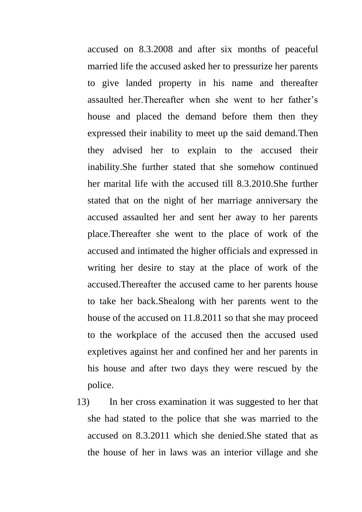accused on 8.3.2008 and after six months of peaceful married life the accused asked her to pressurize her parents to give landed property in his name and thereafter assaulted her.Thereafter when she went to her father's house and placed the demand before them then they expressed their inability to meet up the said demand.Then they advised her to explain to the accused their inability.She further stated that she somehow continued her marital life with the accused till 8.3.2010.She further stated that on the night of her marriage anniversary the accused assaulted her and sent her away to her parents place.Thereafter she went to the place of work of the accused and intimated the higher officials and expressed in writing her desire to stay at the place of work of the accused.Thereafter the accused came to her parents house to take her back.Shealong with her parents went to the house of the accused on 11.8.2011 so that she may proceed to the workplace of the accused then the accused used expletives against her and confined her and her parents in his house and after two days they were rescued by the police.

13) In her cross examination it was suggested to her that she had stated to the police that she was married to the accused on 8.3.2011 which she denied.She stated that as the house of her in laws was an interior village and she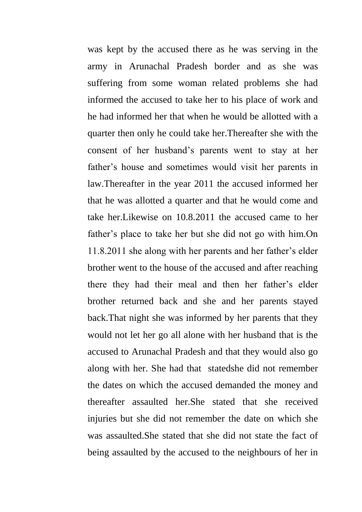was kept by the accused there as he was serving in the army in Arunachal Pradesh border and as she was suffering from some woman related problems she had informed the accused to take her to his place of work and he had informed her that when he would be allotted with a quarter then only he could take her.Thereafter she with the consent of her husband's parents went to stay at her father's house and sometimes would visit her parents in law.Thereafter in the year 2011 the accused informed her that he was allotted a quarter and that he would come and take her.Likewise on 10.8.2011 the accused came to her father's place to take her but she did not go with him.On 11.8.2011 she along with her parents and her father's elder brother went to the house of the accused and after reaching there they had their meal and then her father's elder brother returned back and she and her parents stayed back.That night she was informed by her parents that they would not let her go all alone with her husband that is the accused to Arunachal Pradesh and that they would also go along with her. She had that statedshe did not remember the dates on which the accused demanded the money and thereafter assaulted her.She stated that she received injuries but she did not remember the date on which she was assaulted.She stated that she did not state the fact of being assaulted by the accused to the neighbours of her in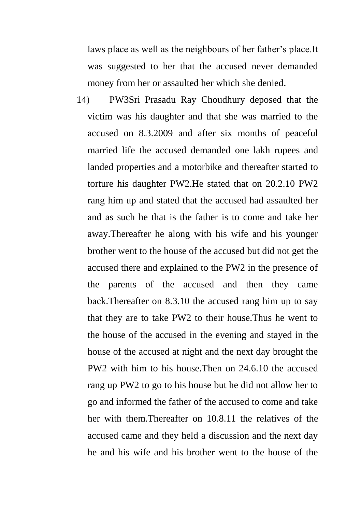laws place as well as the neighbours of her father's place.It was suggested to her that the accused never demanded money from her or assaulted her which she denied.

14) PW3Sri Prasadu Ray Choudhury deposed that the victim was his daughter and that she was married to the accused on 8.3.2009 and after six months of peaceful married life the accused demanded one lakh rupees and landed properties and a motorbike and thereafter started to torture his daughter PW2.He stated that on 20.2.10 PW2 rang him up and stated that the accused had assaulted her and as such he that is the father is to come and take her away.Thereafter he along with his wife and his younger brother went to the house of the accused but did not get the accused there and explained to the PW2 in the presence of the parents of the accused and then they came back.Thereafter on 8.3.10 the accused rang him up to say that they are to take PW2 to their house.Thus he went to the house of the accused in the evening and stayed in the house of the accused at night and the next day brought the PW2 with him to his house.Then on 24.6.10 the accused rang up PW2 to go to his house but he did not allow her to go and informed the father of the accused to come and take her with them.Thereafter on 10.8.11 the relatives of the accused came and they held a discussion and the next day he and his wife and his brother went to the house of the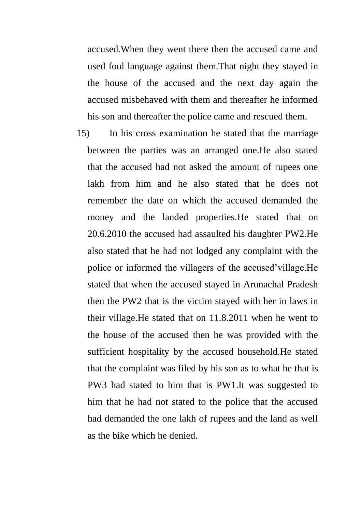accused.When they went there then the accused came and used foul language against them.That night they stayed in the house of the accused and the next day again the accused misbehaved with them and thereafter he informed his son and thereafter the police came and rescued them.

15) In his cross examination he stated that the marriage between the parties was an arranged one.He also stated that the accused had not asked the amount of rupees one lakh from him and he also stated that he does not remember the date on which the accused demanded the money and the landed properties.He stated that on 20.6.2010 the accused had assaulted his daughter PW2.He also stated that he had not lodged any complaint with the police or informed the villagers of the accused'village.He stated that when the accused stayed in Arunachal Pradesh then the PW2 that is the victim stayed with her in laws in their village.He stated that on 11.8.2011 when he went to the house of the accused then he was provided with the sufficient hospitality by the accused household.He stated that the complaint was filed by his son as to what he that is PW3 had stated to him that is PW1.It was suggested to him that he had not stated to the police that the accused had demanded the one lakh of rupees and the land as well as the bike which he denied.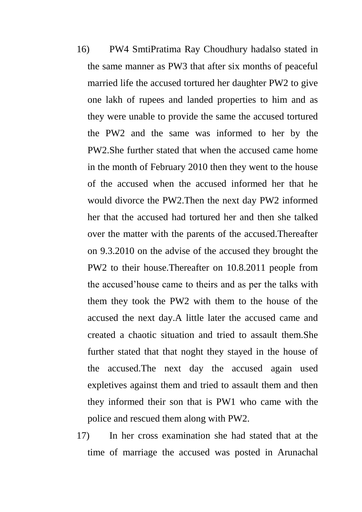- 16) PW4 SmtiPratima Ray Choudhury hadalso stated in the same manner as PW3 that after six months of peaceful married life the accused tortured her daughter PW2 to give one lakh of rupees and landed properties to him and as they were unable to provide the same the accused tortured the PW2 and the same was informed to her by the PW2.She further stated that when the accused came home in the month of February 2010 then they went to the house of the accused when the accused informed her that he would divorce the PW2.Then the next day PW2 informed her that the accused had tortured her and then she talked over the matter with the parents of the accused.Thereafter on 9.3.2010 on the advise of the accused they brought the PW2 to their house.Thereafter on 10.8.2011 people from the accused'house came to theirs and as per the talks with them they took the PW2 with them to the house of the accused the next day.A little later the accused came and created a chaotic situation and tried to assault them.She further stated that that noght they stayed in the house of the accused.The next day the accused again used expletives against them and tried to assault them and then they informed their son that is PW1 who came with the police and rescued them along with PW2.
- 17) In her cross examination she had stated that at the time of marriage the accused was posted in Arunachal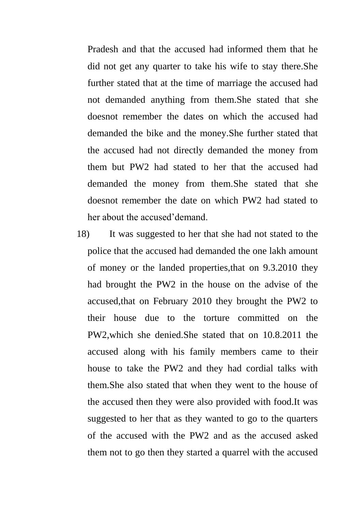Pradesh and that the accused had informed them that he did not get any quarter to take his wife to stay there.She further stated that at the time of marriage the accused had not demanded anything from them.She stated that she doesnot remember the dates on which the accused had demanded the bike and the money.She further stated that the accused had not directly demanded the money from them but PW2 had stated to her that the accused had demanded the money from them.She stated that she doesnot remember the date on which PW2 had stated to her about the accused'demand.

18) It was suggested to her that she had not stated to the police that the accused had demanded the one lakh amount of money or the landed properties,that on 9.3.2010 they had brought the PW2 in the house on the advise of the accused,that on February 2010 they brought the PW2 to their house due to the torture committed on the PW2,which she denied.She stated that on 10.8.2011 the accused along with his family members came to their house to take the PW2 and they had cordial talks with them.She also stated that when they went to the house of the accused then they were also provided with food.It was suggested to her that as they wanted to go to the quarters of the accused with the PW2 and as the accused asked them not to go then they started a quarrel with the accused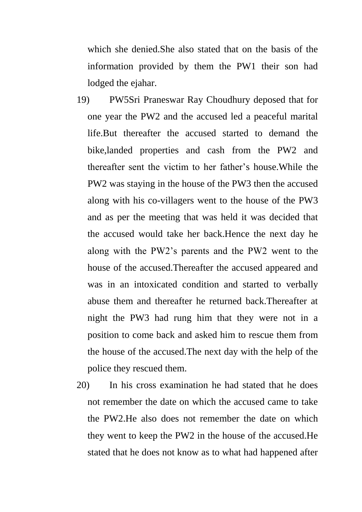which she denied.She also stated that on the basis of the information provided by them the PW1 their son had lodged the ejahar.

- 19) PW5Sri Praneswar Ray Choudhury deposed that for one year the PW2 and the accused led a peaceful marital life.But thereafter the accused started to demand the bike,landed properties and cash from the PW2 and thereafter sent the victim to her father's house.While the PW2 was staying in the house of the PW3 then the accused along with his co-villagers went to the house of the PW3 and as per the meeting that was held it was decided that the accused would take her back.Hence the next day he along with the PW2's parents and the PW2 went to the house of the accused.Thereafter the accused appeared and was in an intoxicated condition and started to verbally abuse them and thereafter he returned back.Thereafter at night the PW3 had rung him that they were not in a position to come back and asked him to rescue them from the house of the accused.The next day with the help of the police they rescued them.
- 20) In his cross examination he had stated that he does not remember the date on which the accused came to take the PW2.He also does not remember the date on which they went to keep the PW2 in the house of the accused.He stated that he does not know as to what had happened after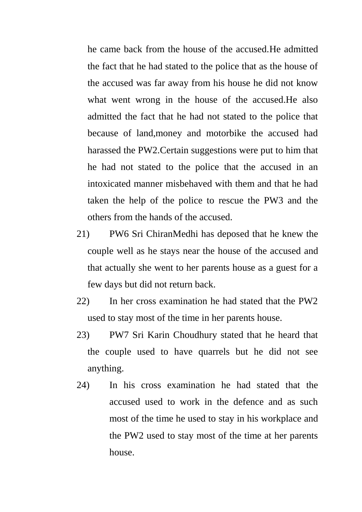he came back from the house of the accused.He admitted the fact that he had stated to the police that as the house of the accused was far away from his house he did not know what went wrong in the house of the accused.He also admitted the fact that he had not stated to the police that because of land,money and motorbike the accused had harassed the PW2.Certain suggestions were put to him that he had not stated to the police that the accused in an intoxicated manner misbehaved with them and that he had taken the help of the police to rescue the PW3 and the others from the hands of the accused.

- 21) PW6 Sri ChiranMedhi has deposed that he knew the couple well as he stays near the house of the accused and that actually she went to her parents house as a guest for a few days but did not return back.
- 22) In her cross examination he had stated that the PW2 used to stay most of the time in her parents house.
- 23) PW7 Sri Karin Choudhury stated that he heard that the couple used to have quarrels but he did not see anything.
- 24) In his cross examination he had stated that the accused used to work in the defence and as such most of the time he used to stay in his workplace and the PW2 used to stay most of the time at her parents house.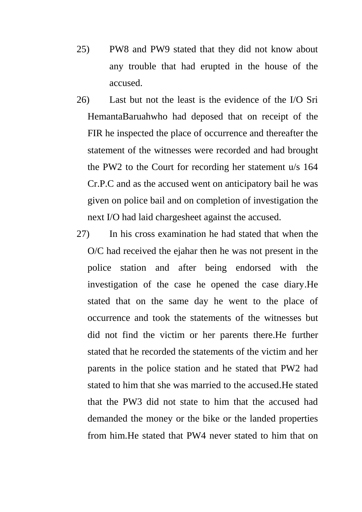- 25) PW8 and PW9 stated that they did not know about any trouble that had erupted in the house of the accused.
- 26) Last but not the least is the evidence of the I/O Sri HemantaBaruahwho had deposed that on receipt of the FIR he inspected the place of occurrence and thereafter the statement of the witnesses were recorded and had brought the PW2 to the Court for recording her statement u/s 164 Cr.P.C and as the accused went on anticipatory bail he was given on police bail and on completion of investigation the next I/O had laid chargesheet against the accused.
- 27) In his cross examination he had stated that when the O/C had received the ejahar then he was not present in the police station and after being endorsed with the investigation of the case he opened the case diary.He stated that on the same day he went to the place of occurrence and took the statements of the witnesses but did not find the victim or her parents there.He further stated that he recorded the statements of the victim and her parents in the police station and he stated that PW2 had stated to him that she was married to the accused.He stated that the PW3 did not state to him that the accused had demanded the money or the bike or the landed properties from him.He stated that PW4 never stated to him that on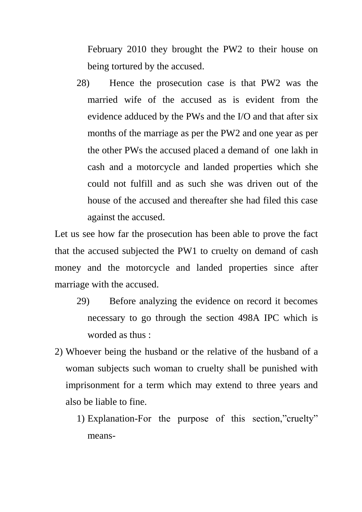February 2010 they brought the PW2 to their house on being tortured by the accused.

28) Hence the prosecution case is that PW2 was the married wife of the accused as is evident from the evidence adduced by the PWs and the I/O and that after six months of the marriage as per the PW2 and one year as per the other PWs the accused placed a demand of one lakh in cash and a motorcycle and landed properties which she could not fulfill and as such she was driven out of the house of the accused and thereafter she had filed this case against the accused.

Let us see how far the prosecution has been able to prove the fact that the accused subjected the PW1 to cruelty on demand of cash money and the motorcycle and landed properties since after marriage with the accused.

- 29) Before analyzing the evidence on record it becomes necessary to go through the section 498A IPC which is worded as thus :
- 2) Whoever being the husband or the relative of the husband of a woman subjects such woman to cruelty shall be punished with imprisonment for a term which may extend to three years and also be liable to fine.
	- 1) Explanation-For the purpose of this section,"cruelty" means-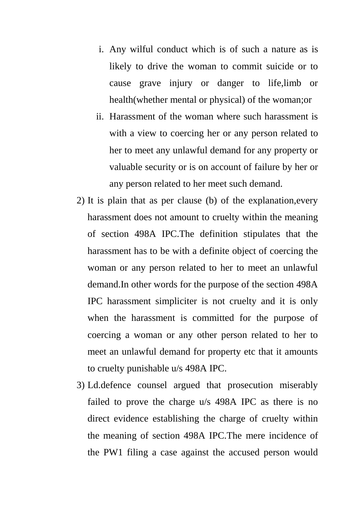- i. Any wilful conduct which is of such a nature as is likely to drive the woman to commit suicide or to cause grave injury or danger to life,limb or health(whether mental or physical) of the woman;or
- ii. Harassment of the woman where such harassment is with a view to coercing her or any person related to her to meet any unlawful demand for any property or valuable security or is on account of failure by her or any person related to her meet such demand.
- 2) It is plain that as per clause (b) of the explanation,every harassment does not amount to cruelty within the meaning of section 498A IPC.The definition stipulates that the harassment has to be with a definite object of coercing the woman or any person related to her to meet an unlawful demand.In other words for the purpose of the section 498A IPC harassment simpliciter is not cruelty and it is only when the harassment is committed for the purpose of coercing a woman or any other person related to her to meet an unlawful demand for property etc that it amounts to cruelty punishable u/s 498A IPC.
- 3) Ld.defence counsel argued that prosecution miserably failed to prove the charge u/s 498A IPC as there is no direct evidence establishing the charge of cruelty within the meaning of section 498A IPC.The mere incidence of the PW1 filing a case against the accused person would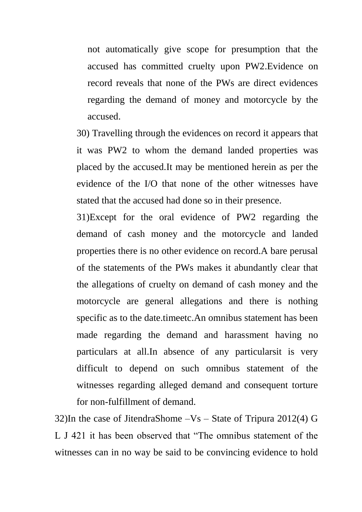not automatically give scope for presumption that the accused has committed cruelty upon PW2.Evidence on record reveals that none of the PWs are direct evidences regarding the demand of money and motorcycle by the accused.

30) Travelling through the evidences on record it appears that it was PW2 to whom the demand landed properties was placed by the accused.It may be mentioned herein as per the evidence of the I/O that none of the other witnesses have stated that the accused had done so in their presence.

31)Except for the oral evidence of PW2 regarding the demand of cash money and the motorcycle and landed properties there is no other evidence on record.A bare perusal of the statements of the PWs makes it abundantly clear that the allegations of cruelty on demand of cash money and the motorcycle are general allegations and there is nothing specific as to the date.timeetc.An omnibus statement has been made regarding the demand and harassment having no particulars at all.In absence of any particularsit is very difficult to depend on such omnibus statement of the witnesses regarding alleged demand and consequent torture for non-fulfillment of demand.

32)In the case of JitendraShome –Vs – State of Tripura 2012(4) G L J 421 it has been observed that "The omnibus statement of the witnesses can in no way be said to be convincing evidence to hold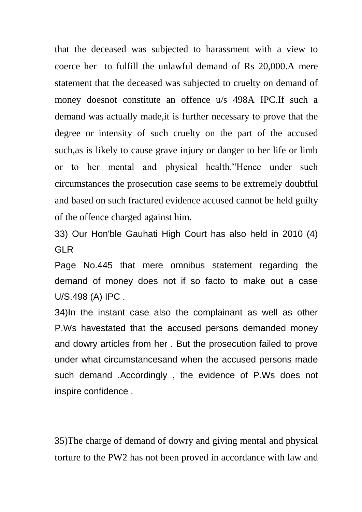that the deceased was subjected to harassment with a view to coerce her to fulfill the unlawful demand of Rs 20,000.A mere statement that the deceased was subjected to cruelty on demand of money doesnot constitute an offence u/s 498A IPC.If such a demand was actually made,it is further necessary to prove that the degree or intensity of such cruelty on the part of the accused such,as is likely to cause grave injury or danger to her life or limb or to her mental and physical health."Hence under such circumstances the prosecution case seems to be extremely doubtful and based on such fractured evidence accused cannot be held guilty of the offence charged against him.

33) Our Hon'ble Gauhati High Court has also held in 2010 (4) GLR

Page No.445 that mere omnibus statement regarding the demand of money does not if so facto to make out a case U/S.498 (A) IPC .

34)In the instant case also the complainant as well as other P.Ws havestated that the accused persons demanded money and dowry articles from her . But the prosecution failed to prove under what circumstancesand when the accused persons made such demand .Accordingly , the evidence of P.Ws does not inspire confidence .

35)The charge of demand of dowry and giving mental and physical torture to the PW2 has not been proved in accordance with law and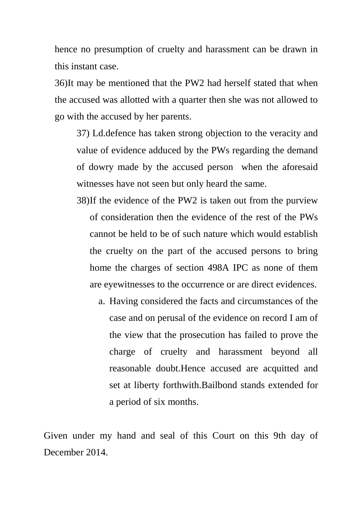hence no presumption of cruelty and harassment can be drawn in this instant case.

36)It may be mentioned that the PW2 had herself stated that when the accused was allotted with a quarter then she was not allowed to go with the accused by her parents.

37) Ld.defence has taken strong objection to the veracity and value of evidence adduced by the PWs regarding the demand of dowry made by the accused person when the aforesaid witnesses have not seen but only heard the same.

- 38)If the evidence of the PW2 is taken out from the purview of consideration then the evidence of the rest of the PWs cannot be held to be of such nature which would establish the cruelty on the part of the accused persons to bring home the charges of section 498A IPC as none of them are eyewitnesses to the occurrence or are direct evidences.
	- a. Having considered the facts and circumstances of the case and on perusal of the evidence on record I am of the view that the prosecution has failed to prove the charge of cruelty and harassment beyond all reasonable doubt.Hence accused are acquitted and set at liberty forthwith.Bailbond stands extended for a period of six months.

Given under my hand and seal of this Court on this 9th day of December 2014.